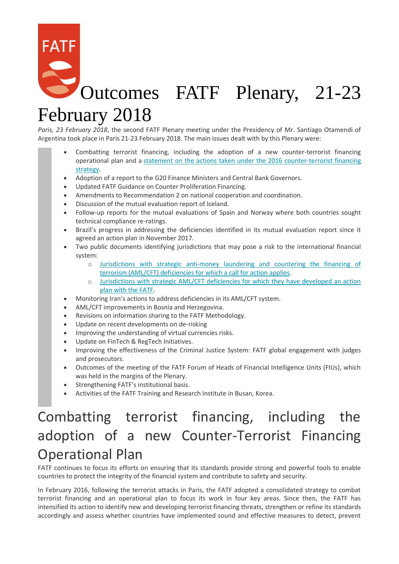# Outcomes FATF Plenary, 21-23 February 2018

*Paris, 23 February 2018*, the second FATF Plenary meeting under the Presidency of Mr. Santiago Otamendi of Argentina took place in Paris 21-23 February 2018. The main issues dealt with by this Plenary were:

- Combatting terrorist financing, including the adoption of a new counter-terrorist financing operational plan and a [statement on the actions taken under the 2016 counter-terrorist financing](http://www.fatf-gafi.org/publications/fatfgeneral/documents/fatf-action-under-2016-cft-plan.html)  [strategy.](http://www.fatf-gafi.org/publications/fatfgeneral/documents/fatf-action-under-2016-cft-plan.html)
- Adoption of a report to the G20 Finance Ministers and Central Bank Governors.
- Updated FATF Guidance on Counter Proliferation Financing.
- Amendments to Recommendation 2 on national cooperation and coordination.
- Discussion of the mutual evaluation report of Iceland.
- Follow-up reports for the mutual evaluations of Spain and Norway where both countries sought technical compliance re-ratings.
- Brazil's progress in addressing the deficiencies identified in its mutual evaluation report since it agreed an action plan in November 2017.
- Two public documents identifying jurisdictions that may pose a risk to the international financial system:
	- o [Jurisdictions with strategic anti-money laundering and countering the financing of](http://www.fatf-gafi.org/publications/high-riskandnon-cooperativejurisdictions/documents/public-statement-february-2018.html)  [terrorism \(AML/CFT\) deficiencies for which a call for action applies.](http://www.fatf-gafi.org/publications/high-riskandnon-cooperativejurisdictions/documents/public-statement-february-2018.html)
	- o [Jurisdictions with strategic AML/CFT deficiencies for which they have developed an action](http://www.fatf-gafi.org/publications/high-riskandnon-cooperativejurisdictions/documents/fatf-compliance-february-2018.html)  [plan with the FATF.](http://www.fatf-gafi.org/publications/high-riskandnon-cooperativejurisdictions/documents/fatf-compliance-february-2018.html)
- Monitoring Iran's actions to address deficiencies in its AML/CFT system.
- AML/CFT improvements in Bosnia and Herzegovina.
- Revisions on information sharing to the FATF Methodology.
- Update on recent developments on de-risking
- Improving the understanding of virtual currencies risks.
- Update on FinTech & RegTech Initiatives.
- Improving the effectiveness of the Criminal Justice System: FATF global engagement with judges and prosecutors.
- Outcomes of the meeting of the FATF Forum of Heads of Financial Intelligence Units (FIUs), which was held in the margins of the Plenary.
- Strengthening FATF's institutional basis.
- Activities of the FATF Training and Research Institute in Busan, Korea.

# Combatting terrorist financing, including the adoption of a new Counter-Terrorist Financing Operational Plan

FATF continues to focus its efforts on ensuring that its standards provide strong and powerful tools to enable countries to protect the integrity of the financial system and contribute to safety and security.

In February 2016, following the terrorist attacks in Paris, the FATF adopted a consolidated strategy to combat terrorist financing and an operational plan to focus its work in four key areas. Since then, the FATF has intensified its action to identify new and developing terrorist financing threats, strengthen or refine its standards accordingly and assess whether countries have implemented sound and effective measures to detect, prevent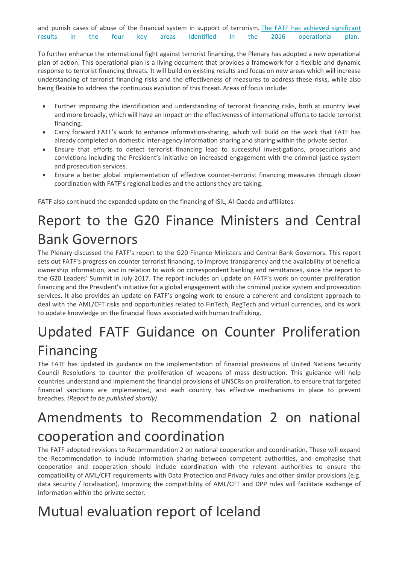and punish cases of abuse of the financial system in support of terrorism. [The FATF has achieved significant](http://www.fatf-gafi.org/publications/fatfgeneral/documents/fatf-action-under-2016-cft-plan.html)  [results in the four key areas identified in the 2016 operational plan.](http://www.fatf-gafi.org/publications/fatfgeneral/documents/fatf-action-under-2016-cft-plan.html)

To further enhance the international fight against terrorist financing, the Plenary has adopted a new operational plan of action. This operational plan is a living document that provides a framework for a flexible and dynamic response to terrorist financing threats. It will build on existing results and focus on new areas which will increase understanding of terrorist financing risks and the effectiveness of measures to address these risks, while also being flexible to address the continuous evolution of this threat. Areas of focus include:

- Further improving the identification and understanding of terrorist financing risks, both at country level and more broadly, which will have an impact on the effectiveness of international efforts to tackle terrorist financing.
- Carry forward FATF's work to enhance information-sharing, which will build on the work that FATF has already completed on domestic inter-agency information sharing and sharing within the private sector.
- Ensure that efforts to detect terrorist financing lead to successful investigations, prosecutions and convictions including the President's initiative on increased engagement with the criminal justice system and prosecution services.
- Ensure a better global implementation of effective counter-terrorist financing measures through closer coordination with FATF's regional bodies and the actions they are taking.

FATF also continued the expanded update on the financing of ISIL, Al-Qaeda and affiliates.

#### Report to the G20 Finance Ministers and Central Bank Governors

The Plenary discussed the FATF's report to the G20 Finance Ministers and Central Bank Governors. This report sets out FATF's progress on counter terrorist financing, to improve transparency and the availability of beneficial ownership information, and in relation to work on correspondent banking and remittances, since the report to the G20 Leaders' Summit in July 2017. The report includes an update on FATF's work on counter proliferation financing and the President's initiative for a global engagement with the criminal justice system and prosecution services. It also provides an update on FATF's ongoing work to ensure a coherent and consistent approach to deal with the AML/CFT risks and opportunities related to FinTech, RegTech and virtual currencies, and its work to update knowledge on the financial flows associated with human trafficking.

# Updated FATF Guidance on Counter Proliferation Financing

The FATF has updated its guidance on the implementation of financial provisions of United Nations Security Council Resolutions to counter the proliferation of weapons of mass destruction. This guidance will help countries understand and implement the financial provisions of UNSCRs on proliferation, to ensure that targeted financial sanctions are implemented, and each country has effective mechanisms in place to prevent breaches. *(Report to be published shortly)*

#### Amendments to Recommendation 2 on national cooperation and coordination

The FATF adopted revisions to Recommendation 2 on national cooperation and coordination. These will expand the Recommendation to include information sharing between competent authorities, and emphasise that cooperation and cooperation should include coordination with the relevant authorities to ensure the compatibility of AML/CFT requirements with Data Protection and Privacy rules and other similar provisions (e.g. data security / localisation). Improving the compatibility of AML/CFT and DPP rules will facilitate exchange of information within the private sector.

## Mutual evaluation report of Iceland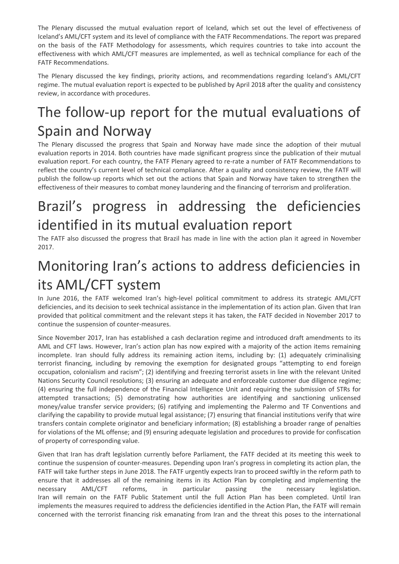The Plenary discussed the mutual evaluation report of Iceland, which set out the level of effectiveness of Iceland's AML/CFT system and its level of compliance with the FATF Recommendations. The report was prepared on the basis of the FATF Methodology for assessments, which requires countries to take into account the effectiveness with which AML/CFT measures are implemented, as well as technical compliance for each of the FATF Recommendations.

The Plenary discussed the key findings, priority actions, and recommendations regarding Iceland's AML/CFT regime. The mutual evaluation report is expected to be published by April 2018 after the quality and consistency review, in accordance with procedures.

## The follow-up report for the mutual evaluations of Spain and Norway

The Plenary discussed the progress that Spain and Norway have made since the adoption of their mutual evaluation reports in 2014. Both countries have made significant progress since the publication of their mutual evaluation report. For each country, the FATF Plenary agreed to re-rate a number of FATF Recommendations to reflect the country's current level of technical compliance. After a quality and consistency review, the FATF will publish the follow-up reports which set out the actions that Spain and Norway have taken to strengthen the effectiveness of their measures to combat money laundering and the financing of terrorism and proliferation.

#### Brazil's progress in addressing the deficiencies identified in its mutual evaluation report

The FATF also discussed the progress that Brazil has made in line with the action plan it agreed in November 2017.

# Monitoring Iran's actions to address deficiencies in its AML/CFT system

In June 2016, the FATF welcomed Iran's high-level political commitment to address its strategic AML/CFT deficiencies, and its decision to seek technical assistance in the implementation of its action plan. Given that Iran provided that political commitment and the relevant steps it has taken, the FATF decided in November 2017 to continue the suspension of counter-measures.

Since November 2017, Iran has established a cash declaration regime and introduced draft amendments to its AML and CFT laws. However, Iran's action plan has now expired with a majority of the action items remaining incomplete. Iran should fully address its remaining action items, including by: (1) adequately criminalising terrorist financing, including by removing the exemption for designated groups "attempting to end foreign occupation, colonialism and racism"; (2) identifying and freezing terrorist assets in line with the relevant United Nations Security Council resolutions; (3) ensuring an adequate and enforceable customer due diligence regime; (4) ensuring the full independence of the Financial Intelligence Unit and requiring the submission of STRs for attempted transactions; (5) demonstrating how authorities are identifying and sanctioning unlicensed money/value transfer service providers; (6) ratifying and implementing the Palermo and TF Conventions and clarifying the capability to provide mutual legal assistance; (7) ensuring that financial institutions verify that wire transfers contain complete originator and beneficiary information; (8) establishing a broader range of penalties for violations of the ML offense; and (9) ensuring adequate legislation and procedures to provide for confiscation of property of corresponding value.

Given that Iran has draft legislation currently before Parliament, the FATF decided at its meeting this week to continue the suspension of counter-measures. Depending upon Iran's progress in completing its action plan, the FATF will take further steps in June 2018. The FATF urgently expects Iran to proceed swiftly in the reform path to ensure that it addresses all of the remaining items in its Action Plan by completing and implementing the necessary AML/CFT reforms, in particular passing the necessary legislation. Iran will remain on the FATF Public Statement until the full Action Plan has been completed. Until Iran implements the measures required to address the deficiencies identified in the Action Plan, the FATF will remain concerned with the terrorist financing risk emanating from Iran and the threat this poses to the international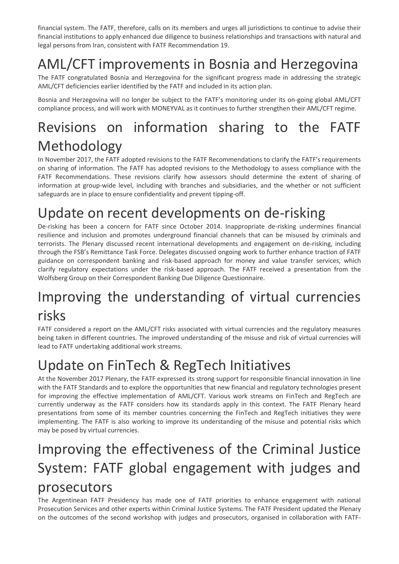financial system. The FATF, therefore, calls on its members and urges all jurisdictions to continue to advise their financial institutions to apply enhanced due diligence to business relationships and transactions with natural and legal persons from Iran, consistent with FATF Recommendation 19.

# AML/CFT improvements in Bosnia and Herzegovina

The FATF congratulated Bosnia and Herzegovina for the significant progress made in addressing the strategic AML/CFT deficiencies earlier identified by the FATF and included in its action plan.

Bosnia and Herzegovina will no longer be subject to the FATF's monitoring under its on-going global AML/CFT compliance process, and will work with MONEYVAL as it continues to further strengthen their AML/CFT regime.

# Revisions on information sharing to the FATF Methodology

In November 2017, the FATF adopted revisions to the FATF Recommendations to clarify the FATF's requirements on sharing of information. The FATF has adopted revisions to the Methodology to assess compliance with the FATF Recommendations. These revisions clarify how assessors should determine the extent of sharing of information at group-wide level, including with branches and subsidiaries, and the whether or not sufficient safeguards are in place to ensure confidentiality and prevent tipping-off.

## Update on recent developments on de-risking

De-risking has been a concern for FATF since October 2014. Inappropriate de-risking undermines financial resilience and inclusion and promotes underground financial channels that can be misused by criminals and terrorists. The Plenary discussed recent international developments and engagement on de-risking, including through the FSB's Remittance Task Force. Delegates discussed ongoing work to further enhance traction of FATF guidance on correspondent banking and risk-based approach for money and value transfer services, which clarify regulatory expectations under the risk-based approach. The FATF received a presentation from the Wolfsberg Group on their Correspondent Banking Due Diligence Questionnaire.

## Improving the understanding of virtual currencies risks

FATF considered a report on the AML/CFT risks associated with virtual currencies and the regulatory measures being taken in different countries. The improved understanding of the misuse and risk of virtual currencies will lead to FATF undertaking additional work streams.

## Update on FinTech & RegTech Initiatives

At the November 2017 Plenary, the FATF expressed its strong support for responsible financial innovation in line with the FATF Standards and to explore the opportunities that new financial and regulatory technologies present for improving the effective implementation of AML/CFT. Various work streams on FinTech and RegTech are currently underway as the FATF considers how its standards apply in this context. The FATF Plenary heard presentations from some of its member countries concerning the FinTech and RegTech initiatives they were implementing. The FATF is also working to improve its understanding of the misuse and potential risks which may be posed by virtual currencies.

#### Improving the effectiveness of the Criminal Justice System: FATF global engagement with judges and prosecutors

The Argentinean FATF Presidency has made one of FATF priorities to enhance engagement with national Prosecution Services and other experts within Criminal Justice Systems. The FATF President updated the Plenary on the outcomes of the second workshop with judges and prosecutors, organised in collaboration with FATF-